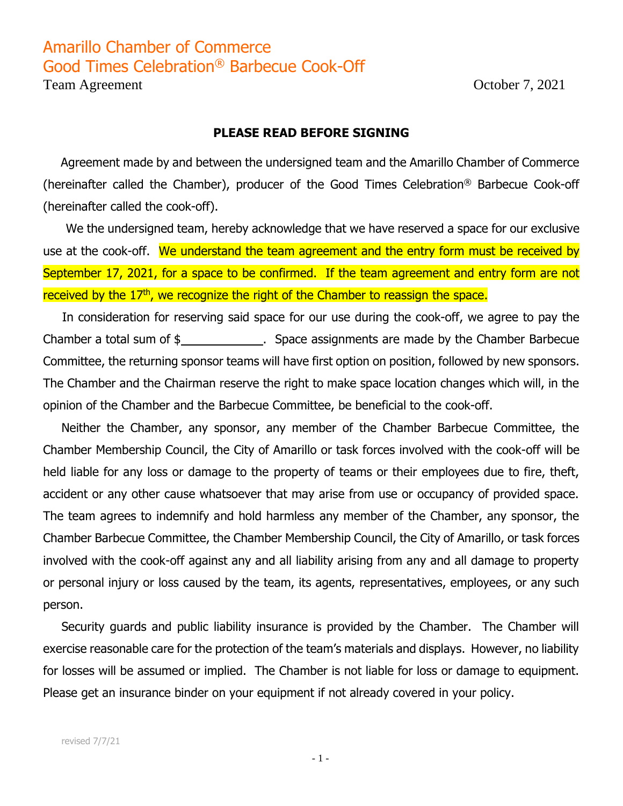## Amarillo Chamber of Commerce Good Times Celebration® Barbecue Cook-Off

Team Agreement October 7, 2021

## **PLEASE READ BEFORE SIGNING**

Agreement made by and between the undersigned team and the Amarillo Chamber of Commerce (hereinafter called the Chamber), producer of the Good Times Celebration® Barbecue Cook-off (hereinafter called the cook-off).

 We the undersigned team, hereby acknowledge that we have reserved a space for our exclusive use at the cook-off. We understand the team agreement and the entry form must be received by September 17, 2021, for a space to be confirmed. If the team agreement and entry form are not received by the 17<sup>th</sup>, we recognize the right of the Chamber to reassign the space.

 In consideration for reserving said space for our use during the cook-off, we agree to pay the Chamber a total sum of \$ . Space assignments are made by the Chamber Barbecue Committee, the returning sponsor teams will have first option on position, followed by new sponsors. The Chamber and the Chairman reserve the right to make space location changes which will, in the opinion of the Chamber and the Barbecue Committee, be beneficial to the cook-off.

Neither the Chamber, any sponsor, any member of the Chamber Barbecue Committee, the Chamber Membership Council, the City of Amarillo or task forces involved with the cook-off will be held liable for any loss or damage to the property of teams or their employees due to fire, theft, accident or any other cause whatsoever that may arise from use or occupancy of provided space. The team agrees to indemnify and hold harmless any member of the Chamber, any sponsor, the Chamber Barbecue Committee, the Chamber Membership Council, the City of Amarillo, or task forces involved with the cook-off against any and all liability arising from any and all damage to property or personal injury or loss caused by the team, its agents, representatives, employees, or any such person.

Security guards and public liability insurance is provided by the Chamber. The Chamber will exercise reasonable care for the protection of the team's materials and displays. However, no liability for losses will be assumed or implied. The Chamber is not liable for loss or damage to equipment. Please get an insurance binder on your equipment if not already covered in your policy.